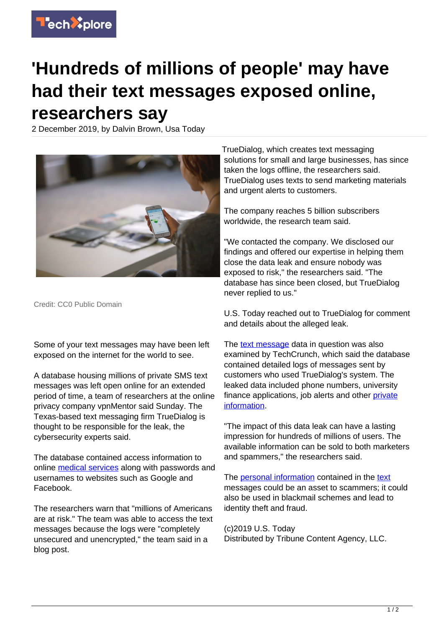

## **'Hundreds of millions of people' may have had their text messages exposed online, researchers say**

2 December 2019, by Dalvin Brown, Usa Today



Credit: CC0 Public Domain

Some of your text messages may have been left exposed on the internet for the world to see.

A database housing millions of private SMS text messages was left open online for an extended period of time, a team of researchers at the online privacy company vpnMentor said Sunday. The Texas-based text messaging firm TrueDialog is thought to be responsible for the leak, the cybersecurity experts said.

The database contained access information to online [medical services](https://techxplore.com/tags/medical+services/) along with passwords and usernames to websites such as Google and Facebook.

The researchers warn that "millions of Americans are at risk." The team was able to access the text messages because the logs were "completely unsecured and unencrypted," the team said in a blog post.

TrueDialog, which creates text messaging solutions for small and large businesses, has since taken the logs offline, the researchers said. TrueDialog uses texts to send marketing materials and urgent alerts to customers.

The company reaches 5 billion subscribers worldwide, the research team said.

"We contacted the company. We disclosed our findings and offered our expertise in helping them close the data leak and ensure nobody was exposed to risk," the researchers said. "The database has since been closed, but TrueDialog never replied to us."

U.S. Today reached out to TrueDialog for comment and details about the alleged leak.

The [text message](https://techxplore.com/tags/text+message/) data in question was also examined by TechCrunch, which said the database contained detailed logs of messages sent by customers who used TrueDialog's system. The leaked data included phone numbers, university finance applications, job alerts and other [private](https://techxplore.com/tags/private+information/) [information.](https://techxplore.com/tags/private+information/)

"The impact of this data leak can have a lasting impression for hundreds of millions of users. The available information can be sold to both marketers and spammers," the researchers said.

The **personal information** contained in the [text](https://techxplore.com/tags/text/) messages could be an asset to scammers; it could also be used in blackmail schemes and lead to identity theft and fraud.

(c)2019 U.S. Today Distributed by Tribune Content Agency, LLC.